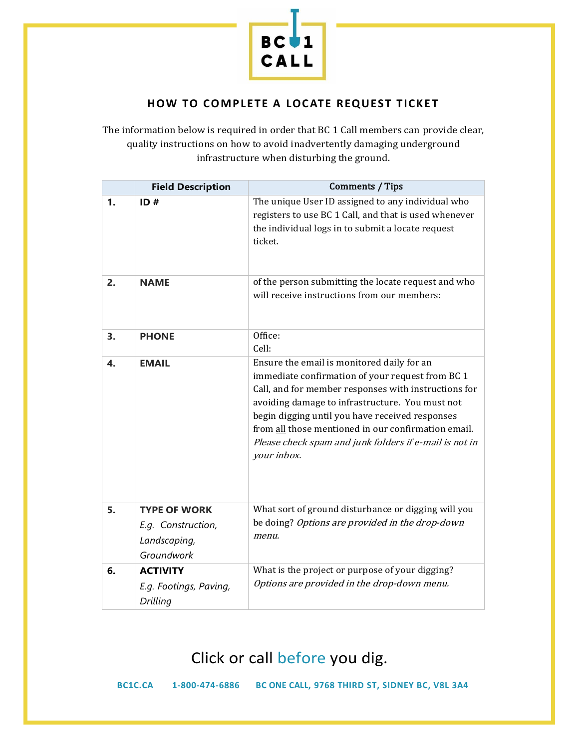

#### **HOW TO COMPLETE A LOCATE REQUEST TICKET**

The information below is required in order that BC 1 Call members can provide clear, quality instructions on how to avoid inadvertently damaging underground infrastructure when disturbing the ground.

|    | <b>Field Description</b>                                                | Comments / Tips                                                                                                                                                                                                                                                                                                                                                                              |
|----|-------------------------------------------------------------------------|----------------------------------------------------------------------------------------------------------------------------------------------------------------------------------------------------------------------------------------------------------------------------------------------------------------------------------------------------------------------------------------------|
| 1. | ID#                                                                     | The unique User ID assigned to any individual who<br>registers to use BC 1 Call, and that is used whenever<br>the individual logs in to submit a locate request<br>ticket.                                                                                                                                                                                                                   |
| 2. | <b>NAME</b>                                                             | of the person submitting the locate request and who<br>will receive instructions from our members:                                                                                                                                                                                                                                                                                           |
| 3. | <b>PHONE</b>                                                            | Office:<br>Cell:                                                                                                                                                                                                                                                                                                                                                                             |
| 4. | <b>EMAIL</b>                                                            | Ensure the email is monitored daily for an<br>immediate confirmation of your request from BC 1<br>Call, and for member responses with instructions for<br>avoiding damage to infrastructure. You must not<br>begin digging until you have received responses<br>from all those mentioned in our confirmation email.<br>Please check spam and junk folders if e-mail is not in<br>your inbox. |
| 5. | <b>TYPE OF WORK</b><br>E.g. Construction,<br>Landscaping,<br>Groundwork | What sort of ground disturbance or digging will you<br>be doing? Options are provided in the drop-down<br>menu.                                                                                                                                                                                                                                                                              |
| 6. | <b>ACTIVITY</b><br>E.g. Footings, Paving,<br>Drilling                   | What is the project or purpose of your digging?<br>Options are provided in the drop-down menu.                                                                                                                                                                                                                                                                                               |

# Click or call before you dig.

**BC1C.CA 1-800-474-6886 BC ONE CALL, 9768 THIRD ST, SIDNEY BC, V8L 3A4**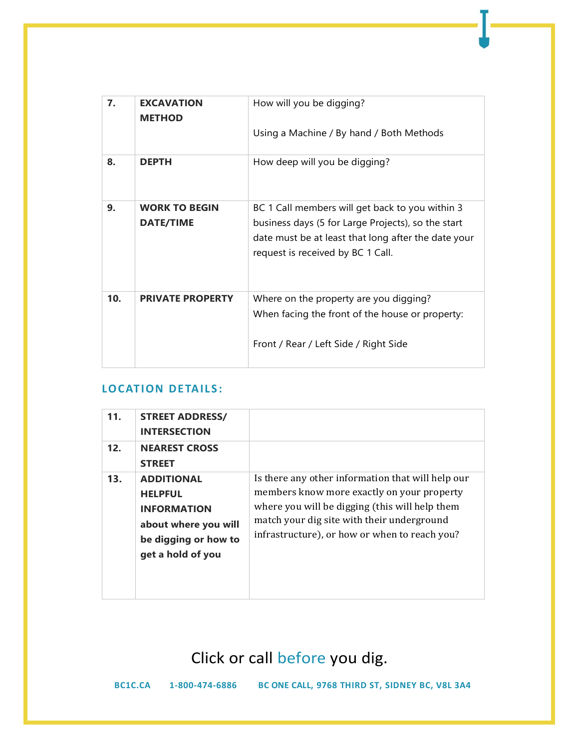| 7.  | <b>EXCAVATION</b><br><b>METHOD</b>       | How will you be digging?<br>Using a Machine / By hand / Both Methods                                                                                                                              |
|-----|------------------------------------------|---------------------------------------------------------------------------------------------------------------------------------------------------------------------------------------------------|
| 8.  | <b>DEPTH</b>                             | How deep will you be digging?                                                                                                                                                                     |
| 9.  | <b>WORK TO BEGIN</b><br><b>DATE/TIME</b> | BC 1 Call members will get back to you within 3<br>business days (5 for Large Projects), so the start<br>date must be at least that long after the date your<br>request is received by BC 1 Call. |
| 10. | <b>PRIVATE PROPERTY</b>                  | Where on the property are you digging?<br>When facing the front of the house or property:<br>Front / Rear / Left Side / Right Side                                                                |

### **LOCATION DETAILS:**

| 11. | <b>STREET ADDRESS/</b><br><b>INTERSECTION</b>                                                                                  |                                                                                                                                                                                                                                                  |
|-----|--------------------------------------------------------------------------------------------------------------------------------|--------------------------------------------------------------------------------------------------------------------------------------------------------------------------------------------------------------------------------------------------|
| 12. | <b>NEAREST CROSS</b><br><b>STREET</b>                                                                                          |                                                                                                                                                                                                                                                  |
| 13. | <b>ADDITIONAL</b><br><b>HELPFUL</b><br><b>INFORMATION</b><br>about where you will<br>be digging or how to<br>get a hold of you | Is there any other information that will help our<br>members know more exactly on your property<br>where you will be digging (this will help them<br>match your dig site with their underground<br>infrastructure), or how or when to reach you? |

Click or call before you dig.

**BC1C.CA 1-800-474-6886 BC ONE CALL, 9768 THIRD ST, SIDNEY BC, V8L 3A4**